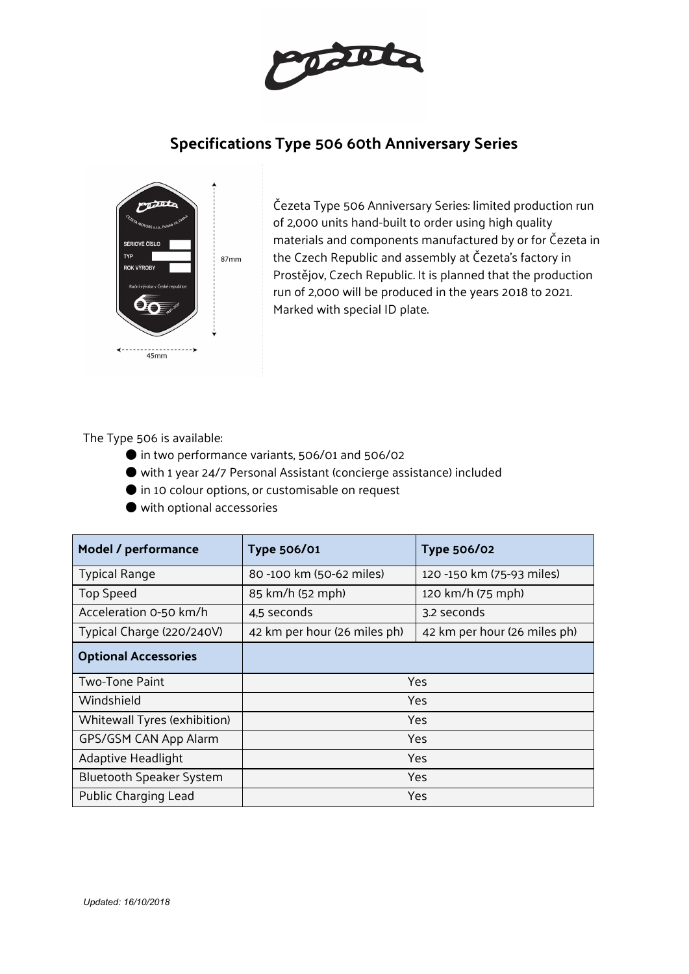

# **Specifications Type 506 60th Anniversary Series**



Čezeta Type 506 Anniversary Series: limited production run of 2,000 units hand-built to order using high quality materials and components manufactured by or for Čezeta in the Czech Republic and assembly at Čezeta's factory in Prostějov, Czech Republic. It is planned that the production run of 2,000 will be produced in the years 2018 to 2021. Marked with special ID plate.

The Type 506 is available:

- in two performance variants, 506/01 and 506/02
- with 1 year 24/7 Personal Assistant (concierge assistance) included
- in 10 colour options, or customisable on request
- with optional accessories

| Model / performance             | <b>Type 506/01</b>           | <b>Type 506/02</b>           |
|---------------------------------|------------------------------|------------------------------|
| <b>Typical Range</b>            | 80 -100 km (50-62 miles)     | 120 -150 km (75-93 miles)    |
| Top Speed                       | 85 km/h (52 mph)             | 120 km/h (75 mph)            |
| Acceleration 0-50 km/h          | 4,5 seconds                  | 3.2 seconds                  |
| Typical Charge (220/240V)       | 42 km per hour (26 miles ph) | 42 km per hour (26 miles ph) |
| <b>Optional Accessories</b>     |                              |                              |
| Two-Tone Paint                  | Yes                          |                              |
| Windshield                      | Yes                          |                              |
| Whitewall Tyres (exhibition)    | Yes                          |                              |
| GPS/GSM CAN App Alarm           | Yes                          |                              |
| Adaptive Headlight              | Yes                          |                              |
| <b>Bluetooth Speaker System</b> | Yes                          |                              |
| Public Charging Lead            | Yes                          |                              |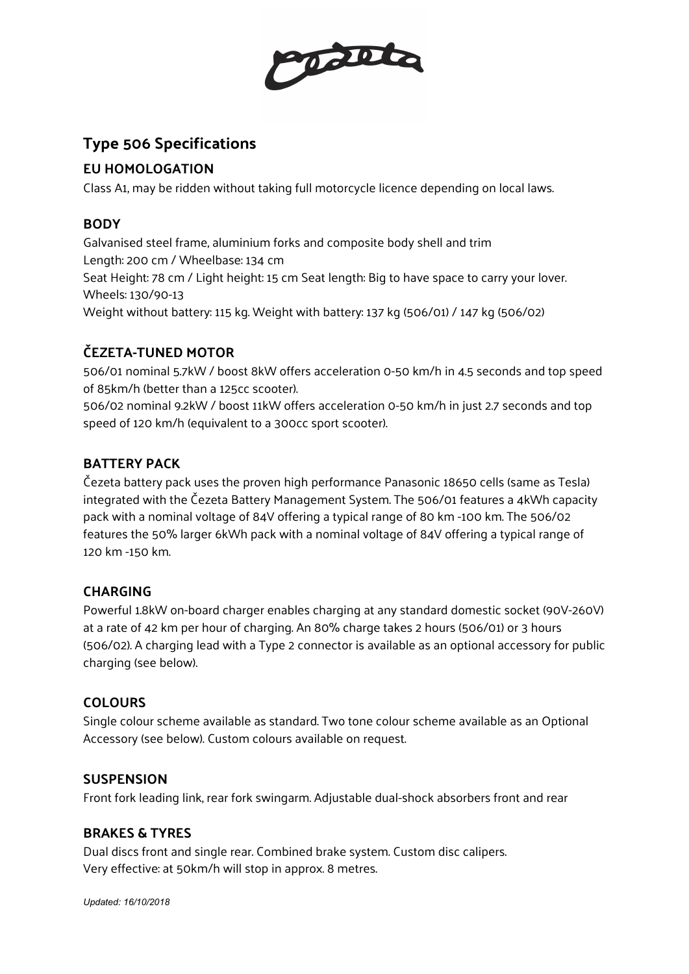

# **Type 506 Specifications**

## **EU HOMOLOGATION**

Class A1, may be ridden without taking full motorcycle licence depending on local laws.

## **BODY**

Galvanised steel frame, aluminium forks and composite body shell and trim Length: 200 cm / Wheelbase: 134 cm Seat Height: 78 cm / Light height: 15 cm Seat length: Big to have space to carry your lover. Wheels: 130/90-13

Weight without battery: 115 kg. Weight with battery: 137 kg (506/01) / 147 kg (506/02)

# **ČEZETA-TUNED MOTOR**

506/01 nominal 5.7kW / boost 8kW offers acceleration 0-50 km/h in 4.5 seconds and top speed of 85km/h (better than a 125cc scooter).

506/02 nominal 9.2kW / boost 11kW offers acceleration 0-50 km/h in just 2.7 seconds and top speed of 120 km/h (equivalent to a 300cc sport scooter).

## **BATTERY PACK**

Čezeta battery pack uses the proven high performance Panasonic 18650 cells (same as Tesla) integrated with the Čezeta Battery Management System. The 506/01 features a 4kWh capacity pack with a nominal voltage of 84V offering a typical range of 80 km -100 km. The 506/02 features the 50% larger 6kWh pack with a nominal voltage of 84V offering a typical range of 120 km -150 km.

## **CHARGING**

Powerful 1.8kW on-board charger enables charging at any standard domestic socket (90V-260V) at a rate of 42 km per hour of charging. An 80% charge takes 2 hours (506/01) or 3 hours (506/02). A charging lead with a Type 2 connector is available as an optional accessory for public charging (see below).

## **COLOURS**

Single colour scheme available as standard. Two tone colour scheme available as an Optional Accessory (see below). Custom colours available on request.

## **SUSPENSION**

Front fork leading link, rear fork swingarm. Adjustable dual-shock absorbers front and rear

## **BRAKES & TYRES**

Dual discs front and single rear. Combined brake system. Custom disc calipers. Very effective: at 50km/h will stop in approx. 8 metres.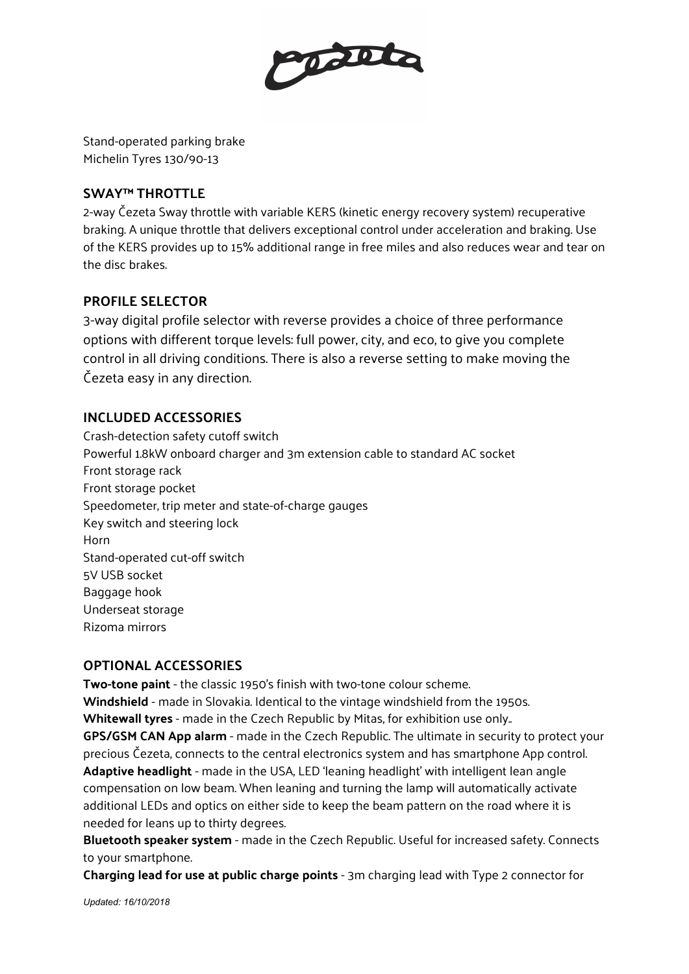

Stand-operated parking brake Michelin Tyres 130/90-13

#### **SWAY™ THROTTLE**

2-way Čezeta Sway throttle with variable KERS (kinetic energy recovery system) recuperative braking. A unique throttle that delivers exceptional control under acceleration and braking. Use of the KERS provides up to 15% additional range in free miles and also reduces wear and tear on the disc brakes.

#### **PROFILE SELECTOR**

3-way digital profile selector with reverse provides a choice of three performance options with different torque levels: full power, city, and eco, to give you complete control in all driving conditions. There is also a reverse setting to make moving the Čezeta easy in any direction.

## **INCLUDED ACCESSORIES**

Crash-detection safety cutoff switch Powerful 1.8kW onboard charger and 3m extension cable to standard AC socket Front storage rack Front storage pocket Speedometer, trip meter and state-of-charge gauges Key switch and steering lock Horn Stand-operated cut-off switch 5V USB socket Baggage hook Underseat storage Rizoma mirrors

#### **OPTIONAL ACCESSORIES**

**Two-tone paint** - the classic 1950's finish with two-tone colour scheme.

**Windshield** - made in Slovakia. Identical to the vintage windshield from the 1950s.

**Whitewall tyres** - made in the Czech Republic by Mitas, for exhibition use only..

**GPS/GSM CAN App alarm** - made in the Czech Republic. The ultimate in security to protect your precious Čezeta, connects to the central electronics system and has smartphone App control. **Adaptive headlight** - made in the USA, LED 'leaning headlight' with intelligent lean angle compensation on low beam. When leaning and turning the lamp will automatically activate additional LEDs and optics on either side to keep the beam pattern on the road where it is needed for leans up to thirty degrees.

**Bluetooth speaker system** - made in the Czech Republic. Useful for increased safety. Connects to your smartphone.

**Charging lead for use at public charge points** - 3m charging lead with Type 2 connector for